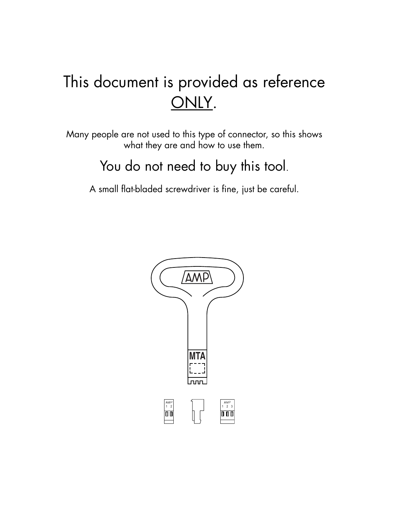# This document is provided as reference ONLY.

Many people are not used to this type of connector, so this shows what they are and how to use them.

## You do not need to buy this tool.

A small flat-bladed screwdriver is fine, just be careful.

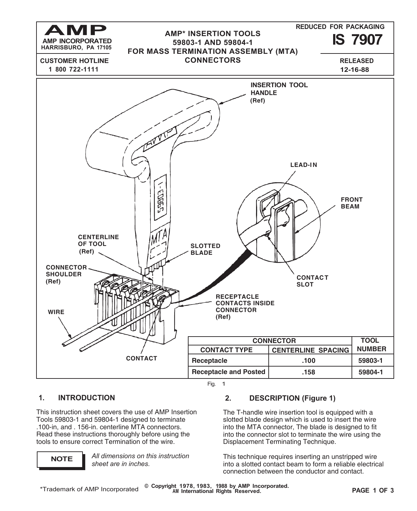

### **1. INTRODUCTION**

This instruction sheet covers the use of AMP Insertion Tools 59803-1 and 59804-1 designed to terminate .100-in, and . 156-in. centerline MTA connectors. Read these instructions thoroughly before using the tools to ensure correct Termination of the wire.

**NOTE** *All dimensions on this instruction sheet are in inches.*

### **2. DESCRIPTION (Figure 1)**

The T-handle wire insertion tool is equipped with a slotted blade design which is used to insert the wire into the MTA connector, The blade is designed to fit into the connector slot to terminate the wire using the Displacement Terminating Technique.

This technique requires inserting an unstripped wire into a slotted contact beam to form a reliable electrical connection between the conductor and contact.

**© Copyright 1978, 1983, 1988 by AMP Incorporated. AM International Rights Reserved. PAGE 1 OF 3**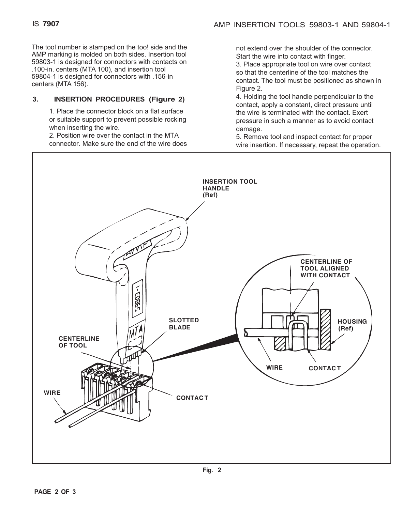The tool number is stamped on the too! side and the AMP marking is molded on both sides. Insertion tool 59803-1 is designed for connectors with contacts on .100-in. centers (MTA 100), and insertion tool 59804-1 is designed for connectors with .156-in centers (MTA 156).

### **3. INSERTION PROCEDURES (Figure 2)**

1. Place the connector block on a flat surface or suitable support to prevent possible rocking when inserting the wire.

2. Position wire over the contact in the MTA connector. Make sure the end cf the wire does not extend over the shoulder of the connector. Start the wire into contact with finger.

3. Place appropriate tool on wire over contact so that the centerline of the tool matches the contact. The tool must be positioned as shown in Figure 2.

4. Holding the tool handle perpendicular to the contact, apply a constant, direct pressure until the wire is terminated with the contact. Exert pressure in such a manner as to avoid contact damage.

5. Remove tool and inspect contact for proper wire insertion. If necessary, repeat the operation.